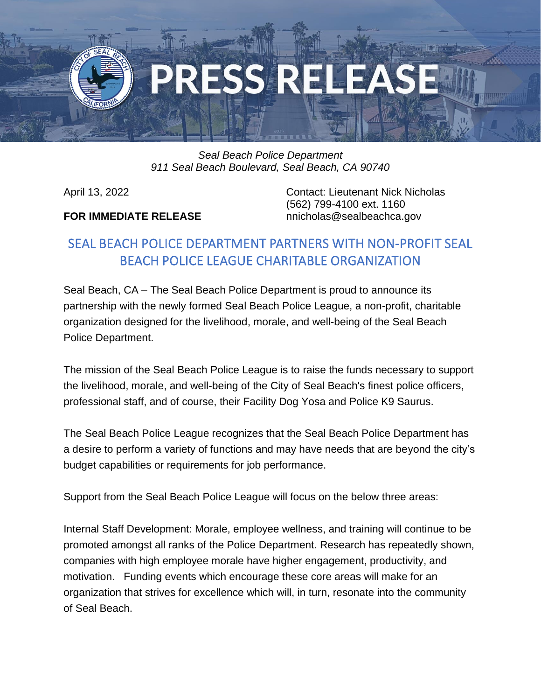

## *Seal Beach Police Department 911 Seal Beach Boulevard, Seal Beach, CA 90740*

## **FOR IMMEDIATE RELEASE** nnicholas@sealbeachca.gov

April 13, 2022 Contact: Lieutenant Nick Nicholas (562) 799-4100 ext. 1160

## SEAL BEACH POLICE DEPARTMENT PARTNERS WITH NON-PROFIT SEAL BEACH POLICE LEAGUE CHARITABLE ORGANIZATION

Seal Beach, CA – The Seal Beach Police Department is proud to announce its partnership with the newly formed Seal Beach Police League, a non-profit, charitable organization designed for the livelihood, morale, and well-being of the Seal Beach Police Department.

The mission of the Seal Beach Police League is to raise the funds necessary to support the livelihood, morale, and well-being of the City of Seal Beach's finest police officers, professional staff, and of course, their Facility Dog Yosa and Police K9 Saurus.

The Seal Beach Police League recognizes that the Seal Beach Police Department has a desire to perform a variety of functions and may have needs that are beyond the city's budget capabilities or requirements for job performance.

Support from the Seal Beach Police League will focus on the below three areas:

Internal Staff Development: Morale, employee wellness, and training will continue to be promoted amongst all ranks of the Police Department. Research has repeatedly shown, companies with high employee morale have higher engagement, productivity, and motivation. Funding events which encourage these core areas will make for an organization that strives for excellence which will, in turn, resonate into the community of Seal Beach.